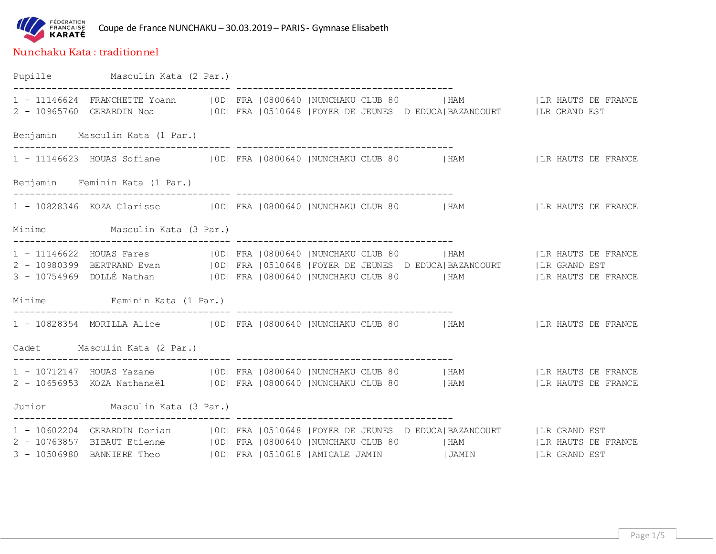

## Nunchaku Kata : traditionnel

Pupille Masculin Kata (2 Par.) ---------------------------------------- ---------------------------------------- 1 - 11146624 FRANCHETTE Yoann | OD| FRA | 0800640 | NUNCHAKU CLUB 80 | HAM | | LR HAUTS DE FRANCE 2 - 10965760 GERARDIN Noa |0D| FRA |0510648 |FOYER DE JEUNES D EDUCA|BAZANCOURT | LR GRAND EST Benjamin Masculin Kata (1 Par.) ---------------------------------------- ---------------------------------------- 1 - 11146623 HOUAS Sofiane |0D| FRA |0800640 |NUNCHAKU CLUB 80 |HAM |LR HAUTS DE FRANCE Benjamin Feminin Kata (1 Par.) ---------------------------------------- ---------------------------------------- 1 - 10828346 KOZA Clarisse |0D| FRA |0800640 |NUNCHAKU CLUB 80 |HAM |LR HAUTS DE FRANCE Minime Masculin Kata (3 Par.) ---------------------------------------- ---------------------------------------- 1 - 11146622 HOUAS Fares | 0D| FRA |0800640 |NUNCHAKU CLUB 80 | HAM | | |LR HAUTS DE FRANCE 2 - 10980399 BERTRAND Evan |0D| FRA |0510648 |FOYER DE JEUNES D EDUCA|BAZANCOURT |LR GRAND EST 3 - 10754969 DOLLÉ Nathan |0D| FRA |0800640 |NUNCHAKU CLUB 80 |HAM |LR HAUTS DE FRANCE Minime Feminin Kata (1 Par.) ---------------------------------------- ---------------------------------------- 1 - 10828354 MORILLA Alice |0D| FRA |0800640 |NUNCHAKU CLUB 80 |HAM |LR HAUTS DE FRANCE Cadet Masculin Kata (2 Par.) ---------------------------------------- ---------------------------------------- 1 - 10712147 HOUAS Yazane | 0D| FRA | 0800640 | NUNCHAKU CLUB 80 | HAM | | LR HAUTS DE FRANCE 2 - 10656953 KOZA Nathanaël | OD| FRA | 0800640 | NUNCHAKU CLUB 80 | HAM | | LR HAUTS DE FRANCE Junior Masculin Kata (3 Par.) ---------------------------------------- ---------------------------------------- 1 - 10602204 GERARDIN Dorian |0D| FRA |0510648 |FOYER DE JEUNES D EDUCA|BAZANCOURT |LR GRAND EST 2 - 10763857 BIBAUT Etienne | OD| FRA | 0800640 | NUNCHAKU CLUB 80 | HAM | | LR HAUTS DE FRANCE 3 - 10506980 BANNIERE Theo |0D| FRA |0510618 |AMICALE JAMIN |JAMIN | LR GRAND EST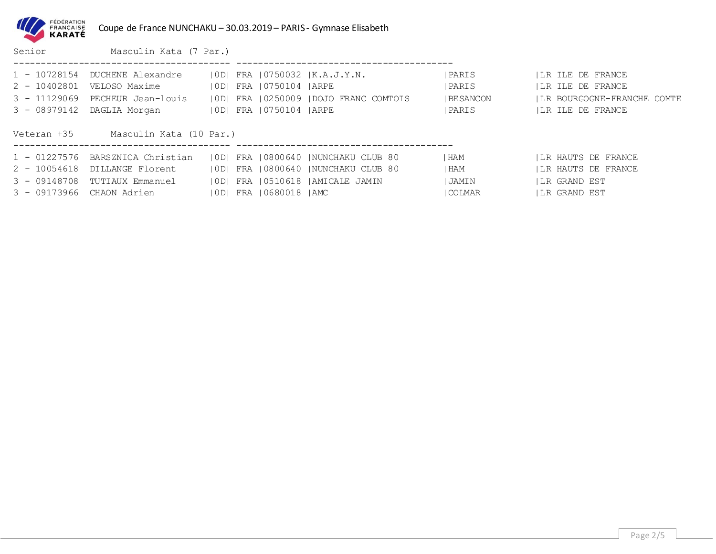| FÉDÉRATION<br><b>FRANCAISE</b><br><b>KARATE</b> |
|-------------------------------------------------|
|                                                 |

Coupe de France NUNCHAKU – 30.03.2019 – PARIS - Gymnase Elisabeth

Senior Masculin Kata (7 Par.) ---------------------------------------- ---------------------------------------- 1 - 10728154 DUCHENE Alexandre |0D| FRA |0750032 |K.A.J.Y.N. |PARIS |LR ILE DE FRANCE 2 - 10402801 VELOSO Maxime |0D| FRA |0750104 |ARPE |PARIS |LR ILE DE FRANCE 3 - 11129069 PECHEUR Jean-louis |0D| FRA |0250009 |DOJO FRANC COMTOIS |BESANCON |LR BOURGOGNE-FRANCHE COMTE 3 - 08979142 DAGLIA Morgan | OD| FRA | 0750104 |ARPE | | PARIS | | LR ILE DE FRANCE Veteran +35 Masculin Kata (10 Par.) ---------------------------------------- ---------------------------------------- 1 - 01227576 BARSZNICA Christian | OD| FRA | 0800640 | NUNCHAKU CLUB 80 | HAM | | LR HAUTS DE FRANCE 2 - 10054618 DILLANGE Florent | OD| FRA | 0800640 | NUNCHAKU CLUB 80 | HAM | | LR HAUTS DE FRANCE 3 - 09148708 TUTIAUX Emmanuel |0D| FRA |0510618 |AMICALE JAMIN |JAMIN |LR GRAND EST 3 - 09173966 CHAON Adrien | 0D| FRA | 0680018 | AMC | COLMAR | | LR GRAND EST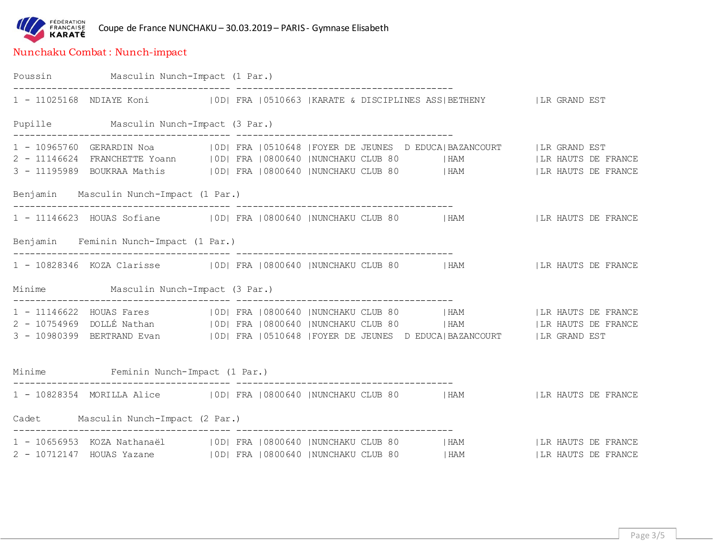

## Nunchaku Combat : Nunch-impact

| Poussin Masculin Nunch-Impact (1 Par.)  |                                                                                                                                                                                                        |  |
|-----------------------------------------|--------------------------------------------------------------------------------------------------------------------------------------------------------------------------------------------------------|--|
|                                         | 1 - 11025168 NDIAYE Koni (OD) FRA (0510663   KARATE & DISCIPLINES ASS   BETHENY   LR GRAND EST                                                                                                         |  |
| Pupille Masculin Nunch-Impact (3 Par.)  |                                                                                                                                                                                                        |  |
|                                         | 1 - 10965760 GERARDIN Noa (IODI FRA 10510648   FOYER DE JEUNES DEDUCA   BAZANCOURT   LR GRAND EST<br>2 - 11146624 FRANCHETTE Yoann   OD  FRA   0800640   NUNCHAKU CLUB 80   HAM     LR HAUTS DE FRANCE |  |
|                                         | 3 - 11195989 BOUKRAA Mathis (OD) FRA (0800640  NUNCHAKU CLUB 80   HAM     LIR HAUTS DE FRANCE                                                                                                          |  |
| Benjamin Masculin Nunch-Impact (1 Par.) |                                                                                                                                                                                                        |  |
|                                         | 1 - 11146623 HOUAS Sofiane   0D  FRA   0800640   NUNCHAKU CLUB 80   HAM     LR HAUTS DE FRANCE                                                                                                         |  |
| Benjamin Feminin Nunch-Impact (1 Par.)  |                                                                                                                                                                                                        |  |
|                                         | 1 - 10828346 KOZA Clarisse (0D) FRA (0800640  NUNCHAKU CLUB 80   HAM     LIR HAUTS DE FRANCE                                                                                                           |  |
| Minime Masculin Nunch-Impact (3 Par.)   |                                                                                                                                                                                                        |  |
|                                         | 1 - 11146622 HOUAS Fares   OD  FRA   0800640   NUNCHAKU CLUB 80   HAM     LR HAUTS DE FRANCE                                                                                                           |  |
|                                         | 2 - 10754969 DOLLÉ Nathan (OD) FRA   0800640   NUNCHAKU CLUB 80   HAM     LR HAUTS DE FRANCE                                                                                                           |  |
|                                         | 3 - 10980399 BERTRAND Evan (IDI FRA 10510648   FOYER DE JEUNES D EDUCA   BAZANCOURT   LR GRAND EST                                                                                                     |  |
| Minime Feminin Nunch-Impact (1 Par.)    |                                                                                                                                                                                                        |  |
|                                         | 1 - 10828354 MORILLA Alice (IODI FRA 10800640  NUNCHAKU CLUB 80   HAM     LR HAUTS DE FRANCE                                                                                                           |  |
| Cadet Masculin Nunch-Impact (2 Par.)    |                                                                                                                                                                                                        |  |
|                                         | 1 - 10656953 KOZA Nathanaël (OD) FRA (0800640  NUNCHAKU CLUB 80   HAM     LR HAUTS DE FRANCE                                                                                                           |  |
|                                         | 2 - 10712147 HOUAS Yazane (OD) FRA (0800640  NUNCHAKU CLUB 80   HAM     LR HAUTS DE FRANCE                                                                                                             |  |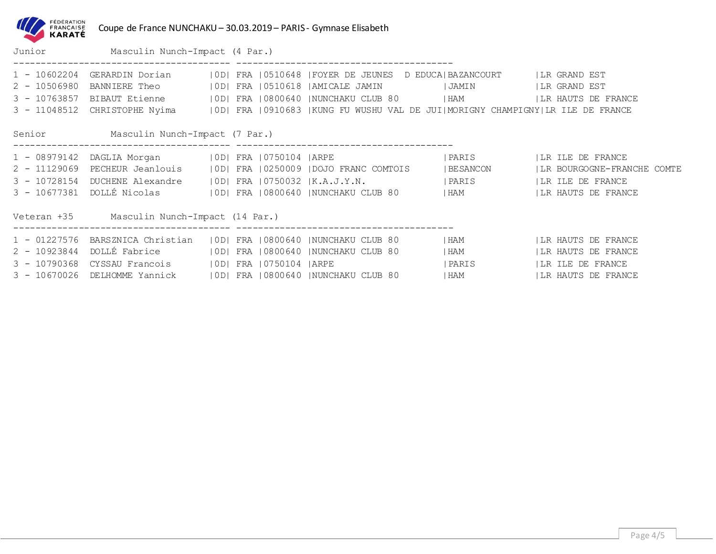| FÉDÉRATION<br>FRANÇAISE<br><b>KARATÉ</b>                           | Coupe de France NUNCHAKU - 30.03.2019 - PARIS - Gymnase Elisabeth                                                                                 |            |                |                                                                                                                      |                                                                   |                                                                                                                                              |
|--------------------------------------------------------------------|---------------------------------------------------------------------------------------------------------------------------------------------------|------------|----------------|----------------------------------------------------------------------------------------------------------------------|-------------------------------------------------------------------|----------------------------------------------------------------------------------------------------------------------------------------------|
|                                                                    | Junior Masculin Nunch-Impact (4 Par.)                                                                                                             |            |                |                                                                                                                      |                                                                   |                                                                                                                                              |
| 1 - 10602204<br>$2 - 10506980$<br>$3 - 10763857$<br>$3 - 11048512$ | GERARDIN Dorian (IOD) FRA (0510648   FOYER DE JEUNES D EDUCA   BAZANCOURT   LR GRAND EST<br>BANNIERE Theo<br>BIBAUT Etienne                       | OD <br> OD |                |                                                                                                                      | FRA   0510618   AMICALE JAMIN                     JAMIN           | LR GRAND EST<br>  LR HAUTS DE FRANCE<br>CHRISTOPHE Nyima   OD  FRA   0910683   KUNG FU WUSHU VAL DE JUI  MORIGNY CHAMPIGNY  LR ILE DE FRANCE |
|                                                                    | Senior Masculin Nunch-Impact (7 Par.)                                                                                                             |            |                |                                                                                                                      |                                                                   |                                                                                                                                              |
| $1 - 08979142$<br>$2 - 11129069$<br>$3 - 10728154$<br>3 - 10677381 | DAGLIA Morgan (OD) FRA 10750104   ARPE<br>PECHEUR Jeanlouis   0D <br>DUCHENE Alexandre<br>DOLLÉ Nicolas (IODI FRA 10800640 INUNCHAKU CLUB 80 (HAM |            |                | $ 0D $ FRA $ 0750032 $ K.A.J.Y.N.                                                                                    | PARIS<br>FRA   0250009   DOJO FRANC COMTOIS   BESANCON<br>  PARIS | ILR ILE DE FRANCE<br>  LR BOURGOGNE-FRANCHE COMTE<br>ILR ILE DE FRANCE<br>  LR HAUTS DE FRANCE                                               |
|                                                                    | Veteran +35 Masculin Nunch-Impact (14 Par.)<br>____________________________________                                                               |            |                |                                                                                                                      |                                                                   |                                                                                                                                              |
| $2 - 10923844$<br>$3 - 10790368$<br>$3 - 10670026$                 | 1 - 01227576 BARSZNICA Christian<br>DOLLÉ Fabrice<br>CYSSAU Francois<br>DELHOMME Yannick                                                          | OD <br>FRA | 0750104   ARPE | OD  FRA   0800640  NUNCHAKU CLUB 80<br>  0D  FRA   0800640   NUNCHAKU CLUB 80<br>10D1 FRA 10800640 INUNCHAKU CLUB 80 | I HAM<br>  HAM<br>IPARIS<br>I HAM                                 | ILR HAUTS DE FRANCE<br>ILR HAUTS DE FRANCE<br>ILR ILE DE FRANCE<br>ILR HAUTS DE FRANCE                                                       |